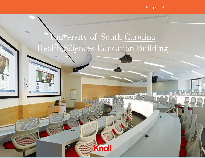Knoll Project Profile

 $DR, OP$ 

pmn

## **Nuiversity of South Carolina** Health Sciences Education Building

**Knoll** 

À

**Communication**